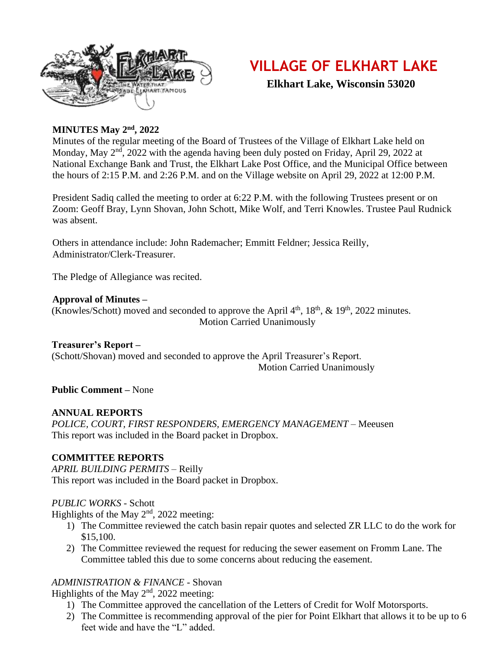

## **VILLAGE OF ELKHART LAKE**

 **Elkhart Lake, Wisconsin 53020**

#### **MINUTES May 2nd, 2022**

Minutes of the regular meeting of the Board of Trustees of the Village of Elkhart Lake held on Monday, May 2<sup>nd</sup>, 2022 with the agenda having been duly posted on Friday, April 29, 2022 at National Exchange Bank and Trust, the Elkhart Lake Post Office, and the Municipal Office between the hours of 2:15 P.M. and 2:26 P.M. and on the Village website on April 29, 2022 at 12:00 P.M.

President Sadiq called the meeting to order at 6:22 P.M. with the following Trustees present or on Zoom: Geoff Bray, Lynn Shovan, John Schott, Mike Wolf, and Terri Knowles. Trustee Paul Rudnick was absent.

Others in attendance include: John Rademacher; Emmitt Feldner; Jessica Reilly, Administrator/Clerk-Treasurer.

The Pledge of Allegiance was recited.

#### **Approval of Minutes –**

(Knowles/Schott) moved and seconded to approve the April  $4<sup>th</sup>$ ,  $18<sup>th</sup>$ ,  $\&$   $19<sup>th</sup>$ ,  $2022$  minutes. Motion Carried Unanimously

#### **Treasurer's Report –**

(Schott/Shovan) moved and seconded to approve the April Treasurer's Report. Motion Carried Unanimously

**Public Comment –** None

#### **ANNUAL REPORTS**

*POLICE, COURT, FIRST RESPONDERS, EMERGENCY MANAGEMENT –* Meeusen This report was included in the Board packet in Dropbox.

#### **COMMITTEE REPORTS**

*APRIL BUILDING PERMITS –* Reilly This report was included in the Board packet in Dropbox.

#### *PUBLIC WORKS -* Schott

Highlights of the May  $2<sup>nd</sup>$ , 2022 meeting:

- 1) The Committee reviewed the catch basin repair quotes and selected ZR LLC to do the work for \$15,100.
- 2) The Committee reviewed the request for reducing the sewer easement on Fromm Lane. The Committee tabled this due to some concerns about reducing the easement.

#### *ADMINISTRATION & FINANCE -* Shovan

Highlights of the May  $2<sup>nd</sup>$ , 2022 meeting:

- 1) The Committee approved the cancellation of the Letters of Credit for Wolf Motorsports.
- 2) The Committee is recommending approval of the pier for Point Elkhart that allows it to be up to 6 feet wide and have the "L" added.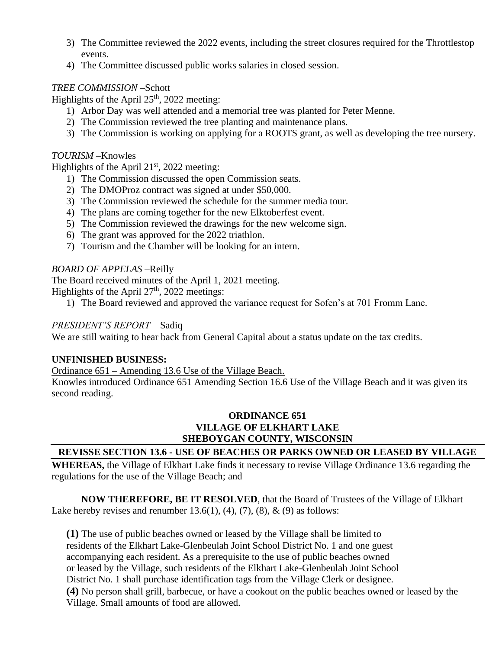- 3) The Committee reviewed the 2022 events, including the street closures required for the Throttlestop events.
- 4) The Committee discussed public works salaries in closed session.

#### *TREE COMMISSION –*Schott

Highlights of the April  $25<sup>th</sup>$ , 2022 meeting:

- 1) Arbor Day was well attended and a memorial tree was planted for Peter Menne.
- 2) The Commission reviewed the tree planting and maintenance plans.
- 3) The Commission is working on applying for a ROOTS grant, as well as developing the tree nursery.

#### *TOURISM –*Knowles

Highlights of the April  $21<sup>st</sup>$ , 2022 meeting:

- 1) The Commission discussed the open Commission seats.
- 2) The DMOProz contract was signed at under \$50,000.
- 3) The Commission reviewed the schedule for the summer media tour.
- 4) The plans are coming together for the new Elktoberfest event.
- 5) The Commission reviewed the drawings for the new welcome sign.
- 6) The grant was approved for the 2022 triathlon.
- 7) Tourism and the Chamber will be looking for an intern.

#### *BOARD OF APPELAS –*Reilly

The Board received minutes of the April 1, 2021 meeting.

Highlights of the April  $27<sup>th</sup>$ , 2022 meetings:

1) The Board reviewed and approved the variance request for Sofen's at 701 Fromm Lane.

#### *PRESIDENT'S REPORT –* Sadiq

We are still waiting to hear back from General Capital about a status update on the tax credits.

#### **UNFINISHED BUSINESS:**

Ordinance 651 – Amending 13.6 Use of the Village Beach.

Knowles introduced Ordinance 651 Amending Section 16.6 Use of the Village Beach and it was given its second reading.

#### **ORDINANCE 651 VILLAGE OF ELKHART LAKE SHEBOYGAN COUNTY, WISCONSIN**

#### **REVISSE SECTION 13.6 - USE OF BEACHES OR PARKS OWNED OR LEASED BY VILLAGE**

**WHEREAS,** the Village of Elkhart Lake finds it necessary to revise Village Ordinance 13.6 regarding the regulations for the use of the Village Beach; and

**NOW THEREFORE, BE IT RESOLVED**, that the Board of Trustees of the Village of Elkhart Lake hereby revises and renumber 13.6(1), (4), (7), (8),  $\&$  (9) as follows:

**(1)** The use of public beaches owned or leased by the Village shall be limited to residents of the Elkhart Lake-Glenbeulah Joint School District No. 1 and one guest accompanying each resident. As a prerequisite to the use of public beaches owned or leased by the Village, such residents of the Elkhart Lake-Glenbeulah Joint School District No. 1 shall purchase identification tags from the Village Clerk or designee. **(4)** No person shall grill, barbecue, or have a cookout on the public beaches owned or leased by the Village. Small amounts of food are allowed.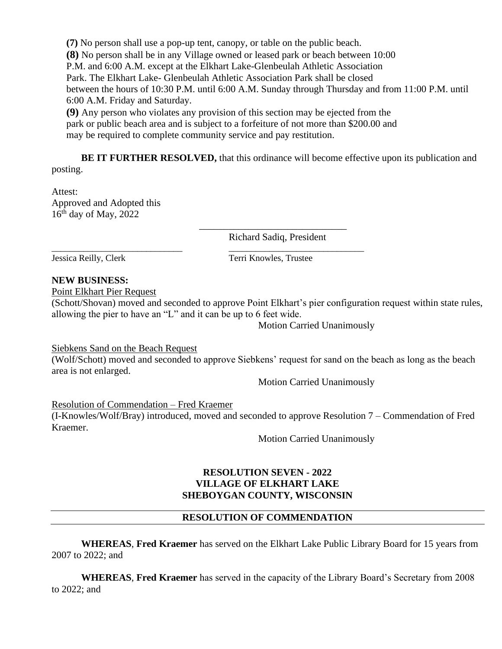**(7)** No person shall use a pop-up tent, canopy, or table on the public beach. **(8)** No person shall be in any Village owned or leased park or beach between 10:00 P.M. and 6:00 A.M. except at the Elkhart Lake-Glenbeulah Athletic Association Park. The Elkhart Lake- Glenbeulah Athletic Association Park shall be closed between the hours of 10:30 P.M. until 6:00 A.M. Sunday through Thursday and from 11:00 P.M. until 6:00 A.M. Friday and Saturday.

**(9)** Any person who violates any provision of this section may be ejected from the park or public beach area and is subject to a forfeiture of not more than \$200.00 and may be required to complete community service and pay restitution.

\_\_\_\_\_\_\_\_\_\_\_\_\_\_\_\_\_\_\_\_\_\_\_\_\_\_\_\_\_ \_\_\_\_\_\_\_\_\_\_\_\_\_\_\_\_\_\_\_\_\_\_\_\_\_\_\_\_\_\_

**BE IT FURTHER RESOLVED, that this ordinance will become effective upon its publication and** posting.

Attest: Approved and Adopted this  $16<sup>th</sup>$  day of May, 2022

> \_\_\_\_\_\_\_\_\_\_\_\_\_\_\_\_\_\_\_\_\_\_\_\_\_\_\_\_\_\_ Richard Sadiq, President

Jessica Reilly, Clerk Terri Knowles, Trustee

#### **NEW BUSINESS:**

Point Elkhart Pier Request

(Schott/Shovan) moved and seconded to approve Point Elkhart's pier configuration request within state rules, allowing the pier to have an "L" and it can be up to 6 feet wide.

Motion Carried Unanimously

Siebkens Sand on the Beach Request

(Wolf/Schott) moved and seconded to approve Siebkens' request for sand on the beach as long as the beach area is not enlarged.

Motion Carried Unanimously

Resolution of Commendation – Fred Kraemer (I-Knowles/Wolf/Bray) introduced, moved and seconded to approve Resolution 7 – Commendation of Fred Kraemer.

Motion Carried Unanimously

#### **RESOLUTION SEVEN - 2022 VILLAGE OF ELKHART LAKE SHEBOYGAN COUNTY, WISCONSIN**

#### **RESOLUTION OF COMMENDATION**

**WHEREAS**, **Fred Kraemer** has served on the Elkhart Lake Public Library Board for 15 years from 2007 to 2022; and

**WHEREAS**, **Fred Kraemer** has served in the capacity of the Library Board's Secretary from 2008 to 2022; and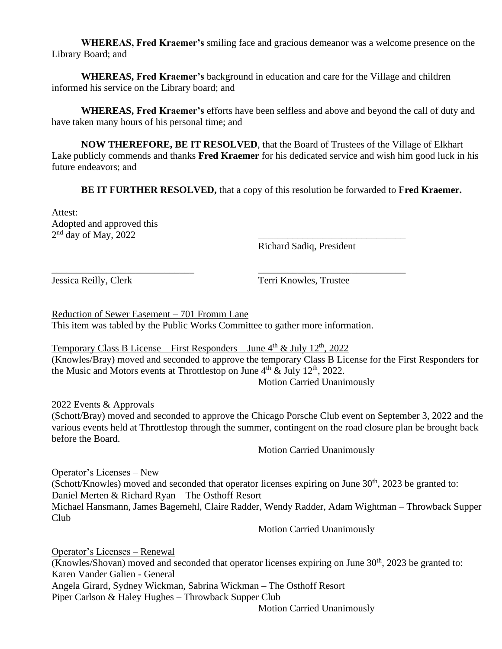**WHEREAS, Fred Kraemer's** smiling face and gracious demeanor was a welcome presence on the Library Board; and

**WHEREAS, Fred Kraemer's** background in education and care for the Village and children informed his service on the Library board; and

**WHEREAS, Fred Kraemer's** efforts have been selfless and above and beyond the call of duty and have taken many hours of his personal time; and

**NOW THEREFORE, BE IT RESOLVED**, that the Board of Trustees of the Village of Elkhart Lake publicly commends and thanks **Fred Kraemer** for his dedicated service and wish him good luck in his future endeavors; and

**BE IT FURTHER RESOLVED,** that a copy of this resolution be forwarded to **Fred Kraemer.** 

Attest: Adopted and approved this  $2<sup>nd</sup>$  day of May, 2022  $\qquad \qquad \qquad$ 

Richard Sadiq, President

Jessica Reilly, Clerk Terri Knowles, Trustee

Reduction of Sewer Easement – 701 Fromm Lane This item was tabled by the Public Works Committee to gather more information.

\_\_\_\_\_\_\_\_\_\_\_\_\_\_\_\_\_\_\_\_\_\_\_\_\_\_\_\_\_ \_\_\_\_\_\_\_\_\_\_\_\_\_\_\_\_\_\_\_\_\_\_\_\_\_\_\_\_\_\_

Temporary Class B License – First Responders – June  $4<sup>th</sup>$  & July  $12<sup>th</sup>$ , 2022 (Knowles/Bray) moved and seconded to approve the temporary Class B License for the First Responders for the Music and Motors events at Throttlestop on June  $4<sup>th</sup>$  & July 12<sup>th</sup>, 2022.

Motion Carried Unanimously

2022 Events & Approvals

(Schott/Bray) moved and seconded to approve the Chicago Porsche Club event on September 3, 2022 and the various events held at Throttlestop through the summer, contingent on the road closure plan be brought back before the Board.

Motion Carried Unanimously

Operator's Licenses – New (Schott/Knowles) moved and seconded that operator licenses expiring on June  $30<sup>th</sup>$ , 2023 be granted to: Daniel Merten & Richard Ryan – The Osthoff Resort Michael Hansmann, James Bagemehl, Claire Radder, Wendy Radder, Adam Wightman – Throwback Supper Club

Motion Carried Unanimously

Operator's Licenses – Renewal (Knowles/Shovan) moved and seconded that operator licenses expiring on June  $30<sup>th</sup>$ , 2023 be granted to: Karen Vander Galien - General Angela Girard, Sydney Wickman, Sabrina Wickman – The Osthoff Resort Piper Carlson & Haley Hughes – Throwback Supper Club

Motion Carried Unanimously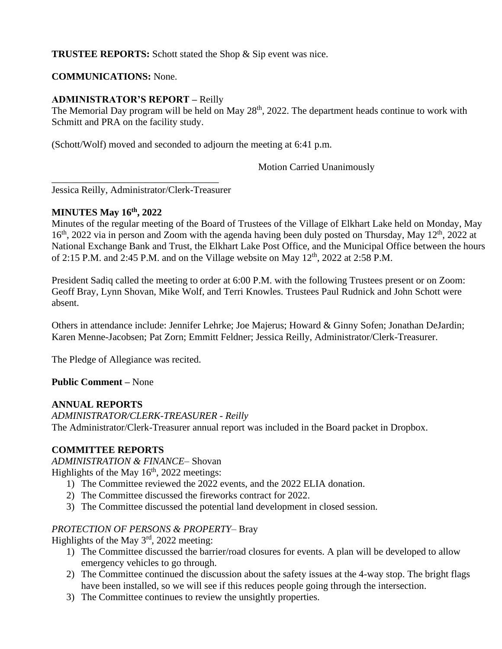#### **TRUSTEE REPORTS:** Schott stated the Shop & Sip event was nice.

#### **COMMUNICATIONS:** None.

#### **ADMINISTRATOR'S REPORT –** Reilly

The Memorial Day program will be held on May  $28<sup>th</sup>$ , 2022. The department heads continue to work with Schmitt and PRA on the facility study.

(Schott/Wolf) moved and seconded to adjourn the meeting at 6:41 p.m.

Motion Carried Unanimously

Jessica Reilly, Administrator/Clerk-Treasurer

\_\_\_\_\_\_\_\_\_\_\_\_\_\_\_\_\_\_\_\_\_\_\_\_\_\_\_\_\_\_\_\_\_\_

#### **MINUTES May 16th, 2022**

Minutes of the regular meeting of the Board of Trustees of the Village of Elkhart Lake held on Monday, May 16<sup>th</sup>, 2022 via in person and Zoom with the agenda having been duly posted on Thursday, May 12<sup>th</sup>, 2022 at National Exchange Bank and Trust, the Elkhart Lake Post Office, and the Municipal Office between the hours of 2:15 P.M. and 2:45 P.M. and on the Village website on May  $12<sup>th</sup>$ , 2022 at 2:58 P.M.

President Sadiq called the meeting to order at 6:00 P.M. with the following Trustees present or on Zoom: Geoff Bray, Lynn Shovan, Mike Wolf, and Terri Knowles. Trustees Paul Rudnick and John Schott were absent.

Others in attendance include: Jennifer Lehrke; Joe Majerus; Howard & Ginny Sofen; Jonathan DeJardin; Karen Menne-Jacobsen; Pat Zorn; Emmitt Feldner; Jessica Reilly, Administrator/Clerk-Treasurer.

The Pledge of Allegiance was recited.

#### **Public Comment –** None

#### **ANNUAL REPORTS**

*ADMINISTRATOR/CLERK-TREASURER - Reilly* The Administrator/Clerk-Treasurer annual report was included in the Board packet in Dropbox.

#### **COMMITTEE REPORTS**

*ADMINISTRATION & FINANCE–* Shovan

Highlights of the May  $16<sup>th</sup>$ , 2022 meetings:

- 1) The Committee reviewed the 2022 events, and the 2022 ELIA donation.
- 2) The Committee discussed the fireworks contract for 2022.
- 3) The Committee discussed the potential land development in closed session.

#### *PROTECTION OF PERSONS & PROPERTY–* Bray

Highlights of the May 3<sup>rd</sup>, 2022 meeting:

- 1) The Committee discussed the barrier/road closures for events. A plan will be developed to allow emergency vehicles to go through.
- 2) The Committee continued the discussion about the safety issues at the 4-way stop. The bright flags have been installed, so we will see if this reduces people going through the intersection.
- 3) The Committee continues to review the unsightly properties.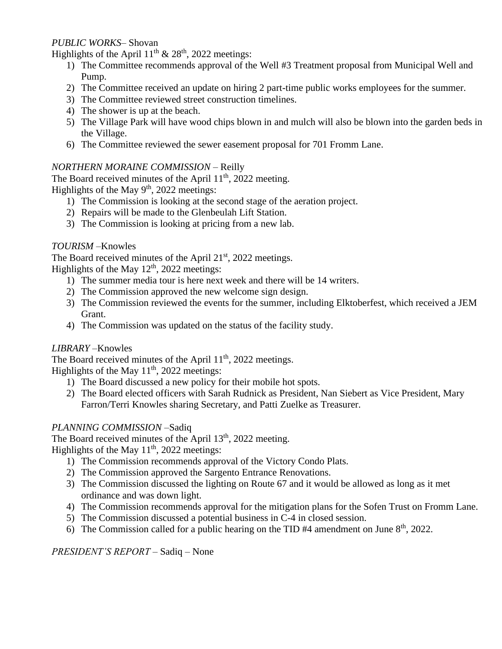#### *PUBLIC WORKS–* Shovan

Highlights of the April  $11^{th}$  &  $28^{th}$ , 2022 meetings:

- 1) The Committee recommends approval of the Well #3 Treatment proposal from Municipal Well and Pump.
- 2) The Committee received an update on hiring 2 part-time public works employees for the summer.
- 3) The Committee reviewed street construction timelines.
- 4) The shower is up at the beach.
- 5) The Village Park will have wood chips blown in and mulch will also be blown into the garden beds in the Village.
- 6) The Committee reviewed the sewer easement proposal for 701 Fromm Lane.

#### *NORTHERN MORAINE COMMISSION –* Reilly

The Board received minutes of the April  $11<sup>th</sup>$ , 2022 meeting. Highlights of the May  $9<sup>th</sup>$ , 2022 meetings:

- 1) The Commission is looking at the second stage of the aeration project.
- 2) Repairs will be made to the Glenbeulah Lift Station.
- 3) The Commission is looking at pricing from a new lab.

#### *TOURISM –*Knowles

The Board received minutes of the April  $21<sup>st</sup>$ , 2022 meetings. Highlights of the May  $12<sup>th</sup>$ , 2022 meetings:

- 1) The summer media tour is here next week and there will be 14 writers.
- 2) The Commission approved the new welcome sign design.
- 3) The Commission reviewed the events for the summer, including Elktoberfest, which received a JEM Grant.
- 4) The Commission was updated on the status of the facility study.

#### *LIBRARY –*Knowles

The Board received minutes of the April  $11<sup>th</sup>$ , 2022 meetings.

Highlights of the May  $11<sup>th</sup>$ , 2022 meetings:

- 1) The Board discussed a new policy for their mobile hot spots.
- 2) The Board elected officers with Sarah Rudnick as President, Nan Siebert as Vice President, Mary Farron/Terri Knowles sharing Secretary, and Patti Zuelke as Treasurer.

#### *PLANNING COMMISSION –*Sadiq

The Board received minutes of the April  $13<sup>th</sup>$ , 2022 meeting.

Highlights of the May 11<sup>th</sup>, 2022 meetings:

- 1) The Commission recommends approval of the Victory Condo Plats.
- 2) The Commission approved the Sargento Entrance Renovations.
- 3) The Commission discussed the lighting on Route 67 and it would be allowed as long as it met ordinance and was down light.
- 4) The Commission recommends approval for the mitigation plans for the Sofen Trust on Fromm Lane.
- 5) The Commission discussed a potential business in C-4 in closed session.
- 6) The Commission called for a public hearing on the TID #4 amendment on June  $8<sup>th</sup>$ , 2022.

*PRESIDENT'S REPORT –* Sadiq – None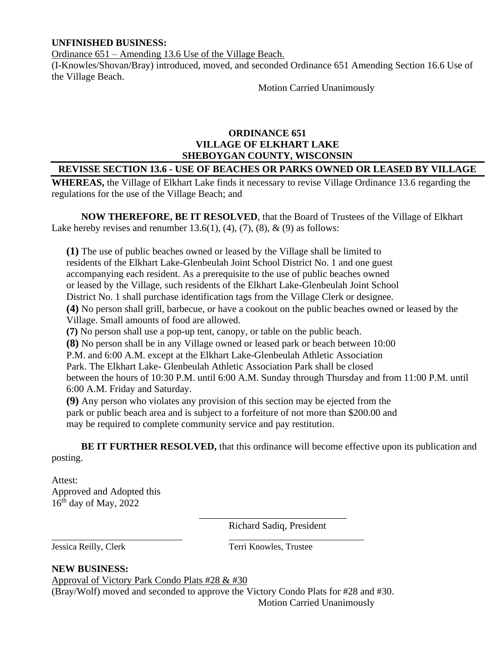#### **UNFINISHED BUSINESS:**

Ordinance 651 – Amending 13.6 Use of the Village Beach.

(I-Knowles/Shovan/Bray) introduced, moved, and seconded Ordinance 651 Amending Section 16.6 Use of the Village Beach.

Motion Carried Unanimously

#### **ORDINANCE 651 VILLAGE OF ELKHART LAKE SHEBOYGAN COUNTY, WISCONSIN**

#### **REVISSE SECTION 13.6 - USE OF BEACHES OR PARKS OWNED OR LEASED BY VILLAGE**

**WHEREAS,** the Village of Elkhart Lake finds it necessary to revise Village Ordinance 13.6 regarding the regulations for the use of the Village Beach; and

**NOW THEREFORE, BE IT RESOLVED**, that the Board of Trustees of the Village of Elkhart Lake hereby revises and renumber 13.6(1), (4), (7), (8),  $\&$  (9) as follows:

**(1)** The use of public beaches owned or leased by the Village shall be limited to residents of the Elkhart Lake-Glenbeulah Joint School District No. 1 and one guest accompanying each resident. As a prerequisite to the use of public beaches owned or leased by the Village, such residents of the Elkhart Lake-Glenbeulah Joint School District No. 1 shall purchase identification tags from the Village Clerk or designee. **(4)** No person shall grill, barbecue, or have a cookout on the public beaches owned or leased by the Village. Small amounts of food are allowed.

**(7)** No person shall use a pop-up tent, canopy, or table on the public beach.

**(8)** No person shall be in any Village owned or leased park or beach between 10:00

P.M. and 6:00 A.M. except at the Elkhart Lake-Glenbeulah Athletic Association

Park. The Elkhart Lake- Glenbeulah Athletic Association Park shall be closed

between the hours of 10:30 P.M. until 6:00 A.M. Sunday through Thursday and from 11:00 P.M. until 6:00 A.M. Friday and Saturday.

**(9)** Any person who violates any provision of this section may be ejected from the park or public beach area and is subject to a forfeiture of not more than \$200.00 and may be required to complete community service and pay restitution.

**BE IT FURTHER RESOLVED,** that this ordinance will become effective upon its publication and posting.

Attest: Approved and Adopted this  $16<sup>th</sup>$  day of May, 2022

> \_\_\_\_\_\_\_\_\_\_\_\_\_\_\_\_\_\_\_\_\_\_\_\_\_\_\_\_\_\_ Richard Sadiq, President

Jessica Reilly, Clerk Terri Knowles, Trustee

#### **NEW BUSINESS:**

Approval of Victory Park Condo Plats #28 & #30

(Bray/Wolf) moved and seconded to approve the Victory Condo Plats for #28 and #30.

\_\_\_\_\_\_\_\_\_\_\_\_\_\_\_\_\_\_\_\_\_\_\_\_\_\_\_\_\_ \_\_\_\_\_\_\_\_\_\_\_\_\_\_\_\_\_\_\_\_\_\_\_\_\_\_\_\_\_\_

Motion Carried Unanimously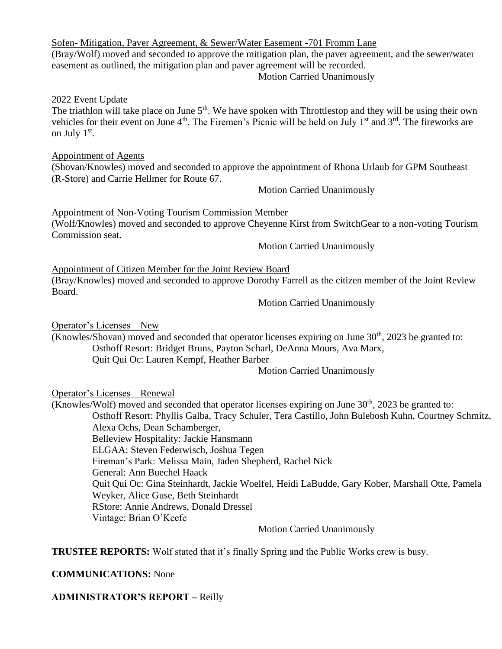|  | Sofen-Mitigation, Paver Agreement, & Sewer/Water Easement -701 Fromm Lane |  |
|--|---------------------------------------------------------------------------|--|
|--|---------------------------------------------------------------------------|--|

### (Bray/Wolf) moved and seconded to approve the mitigation plan, the paver agreement, and the sewer/water easement as outlined, the mitigation plan and paver agreement will be recorded.

Motion Carried Unanimously

#### 2022 Event Update

The triathlon will take place on June  $5<sup>th</sup>$ . We have spoken with Throttlestop and they will be using their own vehicles for their event on June  $4<sup>th</sup>$ . The Firemen's Picnic will be held on July  $1<sup>st</sup>$  and  $3<sup>rd</sup>$ . The fireworks are on July 1<sup>st</sup>.

#### Appointment of Agents

(Shovan/Knowles) moved and seconded to approve the appointment of Rhona Urlaub for GPM Southeast (R-Store) and Carrie Hellmer for Route 67.

Motion Carried Unanimously

Appointment of Non-Voting Tourism Commission Member (Wolf/Knowles) moved and seconded to approve Cheyenne Kirst from SwitchGear to a non-voting Tourism Commission seat.

Motion Carried Unanimously

Appointment of Citizen Member for the Joint Review Board

(Bray/Knowles) moved and seconded to approve Dorothy Farrell as the citizen member of the Joint Review Board.

Motion Carried Unanimously

Operator's Licenses – New

(Knowles/Shovan) moved and seconded that operator licenses expiring on June  $30<sup>th</sup>$ , 2023 be granted to: Osthoff Resort: Bridget Bruns, Payton Scharl, DeAnna Mours, Ava Marx, Quit Qui Oc: Lauren Kempf, Heather Barber

Motion Carried Unanimously

Operator's Licenses – Renewal

(Knowles/Wolf) moved and seconded that operator licenses expiring on June  $30<sup>th</sup>$ , 2023 be granted to: Osthoff Resort: Phyllis Galba, Tracy Schuler, Tera Castillo, John Bulebosh Kuhn, Courtney Schmitz,

Alexa Ochs, Dean Schamberger, Belleview Hospitality: Jackie Hansmann

ELGAA: Steven Federwisch, Joshua Tegen

Fireman's Park: Melissa Main, Jaden Shepherd, Rachel Nick

General: Ann Buechel Haack

Quit Qui Oc: Gina Steinhardt, Jackie Woelfel, Heidi LaBudde, Gary Kober, Marshall Otte, Pamela Weyker, Alice Guse, Beth Steinhardt

RStore: Annie Andrews, Donald Dressel

Vintage: Brian O'Keefe

Motion Carried Unanimously

**TRUSTEE REPORTS:** Wolf stated that it's finally Spring and the Public Works crew is busy.

#### **COMMUNICATIONS:** None

**ADMINISTRATOR'S REPORT –** Reilly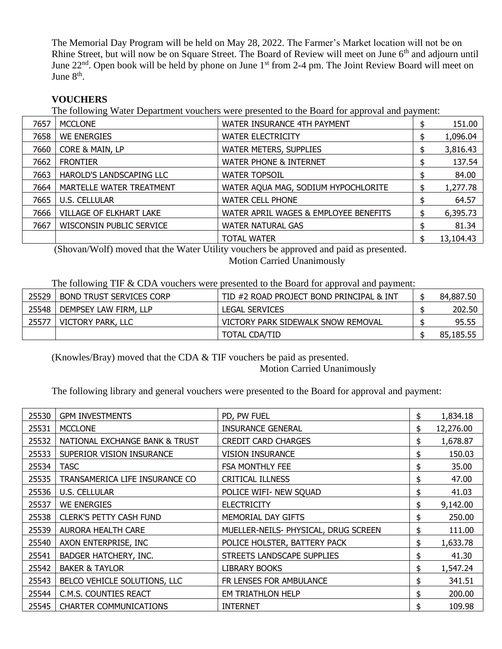The Memorial Day Program will be held on May 28, 2022. The Farmer's Market location will not be on Rhine Street, but will now be on Square Street. The Board of Review will meet on June 6<sup>th</sup> and adjourn until June 22<sup>nd</sup>. Open book will be held by phone on June 1<sup>st</sup> from 2-4 pm. The Joint Review Board will meet on June 8<sup>th</sup>.

#### **VOUCHERS**

The following Water Department vouchers were presented to the Board for approval and payment:

| 7657 | <b>MCCLONE</b>           | WATER INSURANCE 4TH PAYMENT           | 151.00    |
|------|--------------------------|---------------------------------------|-----------|
| 7658 | <b>WE ENERGIES</b>       | <b>WATER ELECTRICITY</b>              | 1,096.04  |
| 7660 | CORE & MAIN, LP          | <b>WATER METERS, SUPPLIES</b>         | 3,816.43  |
| 7662 | <b>FRONTIER</b>          | <b>WATER PHONE &amp; INTERNET</b>     | 137.54    |
| 7663 | HAROLD'S LANDSCAPING LLC | <b>WATER TOPSOIL</b>                  | 84.00     |
| 7664 | MARTELLE WATER TREATMENT | WATER AQUA MAG, SODIUM HYPOCHLORITE   | 1,277.78  |
| 7665 | <b>U.S. CELLULAR</b>     | <b>WATER CELL PHONE</b>               | 64.57     |
| 7666 | VILLAGE OF ELKHART LAKE  | WATER APRIL WAGES & EMPLOYEE BENEFITS | 6,395.73  |
| 7667 | WISCONSIN PUBLIC SERVICE | <b>WATER NATURAL GAS</b>              | 81.34     |
|      |                          | <b>TOTAL WATER</b>                    | 13,104.43 |

(Shovan/Wolf) moved that the Water Utility vouchers be approved and paid as presented.

Motion Carried Unanimously

The following TIF & CDA vouchers were presented to the Board for approval and payment:

| 25529 | BOND TRUST SERVICES CORP | TID #2 ROAD PROJECT BOND PRINCIPAL & INT | 84,887,50 |
|-------|--------------------------|------------------------------------------|-----------|
| 25548 | DEMPSEY LAW FIRM, LLP    | <b>LEGAL SERVICES</b>                    | 202.50    |
| 25577 | VICTORY PARK, LLC        | VICTORY PARK SIDEWALK SNOW REMOVAL       | 95.55     |
|       |                          | <b>TOTAL CDA/TID</b>                     | 85,185.55 |

(Knowles/Bray) moved that the CDA & TIF vouchers be paid as presented.

Motion Carried Unanimously

The following library and general vouchers were presented to the Board for approval and payment:

| 25530 | <b>GPM INVESTMENTS</b>         | PD, PW FUEL                          | \$<br>1,834.18  |
|-------|--------------------------------|--------------------------------------|-----------------|
| 25531 | <b>MCCLONE</b>                 | <b>INSURANCE GENERAL</b>             | \$<br>12,276.00 |
| 25532 | NATIONAL EXCHANGE BANK & TRUST | <b>CREDIT CARD CHARGES</b>           | \$<br>1,678.87  |
| 25533 | SUPERIOR VISION INSURANCE      | <b>VISION INSURANCE</b>              | \$<br>150.03    |
| 25534 | <b>TASC</b>                    | <b>FSA MONTHLY FEE</b>               | \$<br>35.00     |
| 25535 | TRANSAMERICA LIFE INSURANCE CO | <b>CRITICAL ILLNESS</b>              | \$<br>47.00     |
| 25536 | U.S. CELLULAR                  | POLICE WIFI- NEW SQUAD               | \$<br>41.03     |
| 25537 | <b>WE ENERGIES</b>             | <b>ELECTRICITY</b>                   | \$<br>9,142.00  |
| 25538 | <b>CLERK'S PETTY CASH FUND</b> | MEMORIAL DAY GIFTS                   | \$<br>250.00    |
| 25539 | <b>AURORA HEALTH CARE</b>      | MUELLER-NEILS- PHYSICAL, DRUG SCREEN | \$<br>111.00    |
| 25540 | AXON ENTERPRISE, INC           | POLICE HOLSTER, BATTERY PACK         | \$<br>1,633.78  |
| 25541 | BADGER HATCHERY, INC.          | STREETS LANDSCAPE SUPPLIES           | \$<br>41.30     |
| 25542 | <b>BAKER &amp; TAYLOR</b>      | <b>LIBRARY BOOKS</b>                 | \$<br>1,547.24  |
| 25543 | BELCO VEHICLE SOLUTIONS, LLC   | FR LENSES FOR AMBULANCE              | \$<br>341.51    |
| 25544 | C.M.S. COUNTIES REACT          | EM TRIATHLON HELP                    | \$<br>200.00    |
| 25545 | <b>CHARTER COMMUNICATIONS</b>  | <b>INTERNET</b>                      | \$<br>109.98    |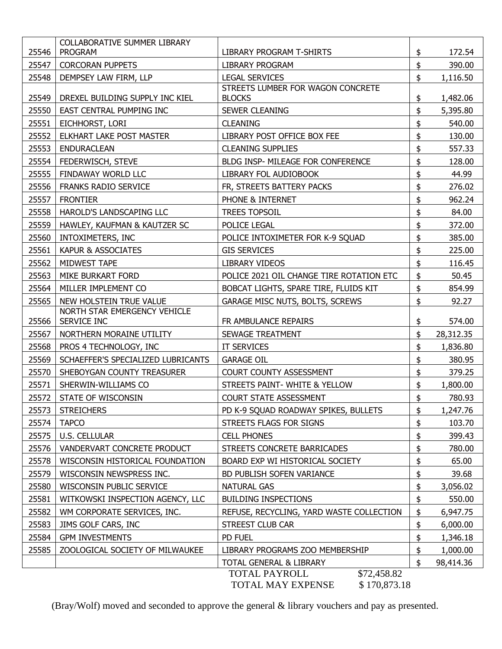|       | <b>COLLABORATIVE SUMMER LIBRARY</b> |                                                                |                 |
|-------|-------------------------------------|----------------------------------------------------------------|-----------------|
| 25546 | <b>PROGRAM</b>                      | LIBRARY PROGRAM T-SHIRTS                                       | \$<br>172.54    |
| 25547 | <b>CORCORAN PUPPETS</b>             | <b>LIBRARY PROGRAM</b>                                         | \$<br>390.00    |
| 25548 | DEMPSEY LAW FIRM, LLP               | <b>LEGAL SERVICES</b>                                          | \$<br>1,116.50  |
| 25549 | DREXEL BUILDING SUPPLY INC KIEL     | STREETS LUMBER FOR WAGON CONCRETE<br><b>BLOCKS</b>             | \$<br>1,482.06  |
| 25550 | EAST CENTRAL PUMPING INC            | <b>SEWER CLEANING</b>                                          | \$<br>5,395.80  |
| 25551 | EICHHORST, LORI                     | <b>CLEANING</b>                                                | \$<br>540.00    |
| 25552 | <b>ELKHART LAKE POST MASTER</b>     | LIBRARY POST OFFICE BOX FEE                                    | \$<br>130.00    |
| 25553 | <b>ENDURACLEAN</b>                  | <b>CLEANING SUPPLIES</b>                                       | \$<br>557.33    |
| 25554 | FEDERWISCH, STEVE                   | BLDG INSP- MILEAGE FOR CONFERENCE                              | \$<br>128.00    |
| 25555 | FINDAWAY WORLD LLC                  | LIBRARY FOL AUDIOBOOK                                          | \$<br>44.99     |
| 25556 | <b>FRANKS RADIO SERVICE</b>         | FR, STREETS BATTERY PACKS                                      | \$<br>276.02    |
| 25557 | <b>FRONTIER</b>                     | PHONE & INTERNET                                               | \$<br>962.24    |
| 25558 | HAROLD'S LANDSCAPING LLC            | <b>TREES TOPSOIL</b>                                           | \$<br>84.00     |
| 25559 | HAWLEY, KAUFMAN & KAUTZER SC        | POLICE LEGAL                                                   | \$<br>372.00    |
| 25560 | INTOXIMETERS, INC                   | POLICE INTOXIMETER FOR K-9 SQUAD                               | \$<br>385.00    |
| 25561 | KAPUR & ASSOCIATES                  | <b>GIS SERVICES</b>                                            | \$<br>225.00    |
| 25562 | MIDWEST TAPE                        | LIBRARY VIDEOS                                                 | \$<br>116.45    |
| 25563 | MIKE BURKART FORD                   | POLICE 2021 OIL CHANGE TIRE ROTATION ETC                       | \$<br>50.45     |
| 25564 | MILLER IMPLEMENT CO                 | BOBCAT LIGHTS, SPARE TIRE, FLUIDS KIT                          | \$<br>854.99    |
| 25565 | NEW HOLSTEIN TRUE VALUE             | GARAGE MISC NUTS, BOLTS, SCREWS                                | \$<br>92.27     |
|       | NORTH STAR EMERGENCY VEHICLE        |                                                                |                 |
| 25566 | SERVICE INC                         | FR AMBULANCE REPAIRS                                           | \$<br>574.00    |
| 25567 | NORTHERN MORAINE UTILITY            | SEWAGE TREATMENT                                               | \$<br>28,312.35 |
| 25568 | PROS 4 TECHNOLOGY, INC              | IT SERVICES                                                    | \$<br>1,836.80  |
| 25569 | SCHAEFFER'S SPECIALIZED LUBRICANTS  | <b>GARAGE OIL</b>                                              | \$<br>380.95    |
| 25570 | SHEBOYGAN COUNTY TREASURER          | COURT COUNTY ASSESSMENT                                        | \$<br>379.25    |
| 25571 | SHERWIN-WILLIAMS CO                 | STREETS PAINT- WHITE & YELLOW                                  | \$<br>1,800.00  |
| 25572 | STATE OF WISCONSIN                  | <b>COURT STATE ASSESSMENT</b>                                  | \$<br>780.93    |
| 25573 | <b>STREICHERS</b>                   | PD K-9 SQUAD ROADWAY SPIKES, BULLETS                           | \$<br>1,247.76  |
| 25574 | <b>TAPCO</b>                        | STREETS FLAGS FOR SIGNS                                        | \$<br>103.70    |
| 25575 | <b>U.S. CELLULAR</b>                | <b>CELL PHONES</b>                                             | \$<br>399.43    |
| 25576 | VANDERVART CONCRETE PRODUCT         | STREETS CONCRETE BARRICADES                                    | \$<br>780.00    |
| 25578 | WISCONSIN HISTORICAL FOUNDATION     | BOARD EXP WI HISTORICAL SOCIETY                                | \$<br>65.00     |
| 25579 | WISCONSIN NEWSPRESS INC.            | BD PUBLISH SOFEN VARIANCE                                      | \$<br>39.68     |
| 25580 | WISCONSIN PUBLIC SERVICE            | <b>NATURAL GAS</b>                                             | \$<br>3,056.02  |
| 25581 | WITKOWSKI INSPECTION AGENCY, LLC    | <b>BUILDING INSPECTIONS</b>                                    | \$<br>550.00    |
| 25582 | WM CORPORATE SERVICES, INC.         | REFUSE, RECYCLING, YARD WASTE COLLECTION                       | \$<br>6,947.75  |
| 25583 | JIMS GOLF CARS, INC                 | STREEST CLUB CAR                                               | \$<br>6,000.00  |
| 25584 | <b>GPM INVESTMENTS</b>              | PD FUEL                                                        | \$<br>1,346.18  |
| 25585 |                                     | LIBRARY PROGRAMS ZOO MEMBERSHIP                                | \$<br>1,000.00  |
|       | ZOOLOGICAL SOCIETY OF MILWAUKEE     |                                                                |                 |
|       |                                     | TOTAL GENERAL & LIBRARY<br><b>TOTAL PAYROLL</b><br>\$72,458.82 | \$<br>98,414.36 |

(Bray/Wolf) moved and seconded to approve the general & library vouchers and pay as presented.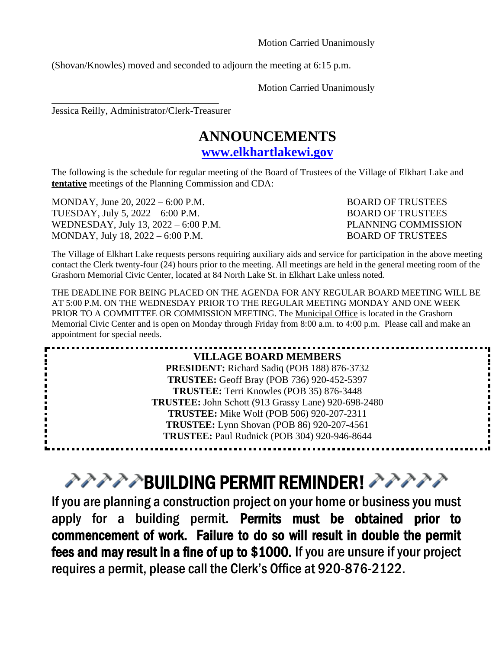Motion Carried Unanimously

(Shovan/Knowles) moved and seconded to adjourn the meeting at 6:15 p.m.

Motion Carried Unanimously

Jessica Reilly, Administrator/Clerk-Treasurer

\_\_\_\_\_\_\_\_\_\_\_\_\_\_\_\_\_\_\_\_\_\_\_\_\_\_\_\_\_\_\_\_\_\_

### **ANNOUNCEMENTS**

**[www.elkhartlakewi.gov](http://www.elkhartlakewi.gov/)**

The following is the schedule for regular meeting of the Board of Trustees of the Village of Elkhart Lake and **tentative** meetings of the Planning Commission and CDA:

MONDAY, June 20, 2022 – 6:00 P.M. BOARD OF TRUSTEES TUESDAY, July 5, 2022 – 6:00 P.M. BOARD OF TRUSTEES WEDNESDAY, July 13, 2022 – 6:00 P.M. PLANNING COMMISSION MONDAY, July 18, 2022 – 6:00 P.M. BOARD OF TRUSTEES

The Village of Elkhart Lake requests persons requiring auxiliary aids and service for participation in the above meeting contact the Clerk twenty-four (24) hours prior to the meeting. All meetings are held in the general meeting room of the Grashorn Memorial Civic Center, located at 84 North Lake St. in Elkhart Lake unless noted.

THE DEADLINE FOR BEING PLACED ON THE AGENDA FOR ANY REGULAR BOARD MEETING WILL BE AT 5:00 P.M. ON THE WEDNESDAY PRIOR TO THE REGULAR MEETING MONDAY AND ONE WEEK PRIOR TO A COMMITTEE OR COMMISSION MEETING. The Municipal Office is located in the Grashorn Memorial Civic Center and is open on Monday through Friday from 8:00 a.m. to 4:00 p.m. Please call and make an appointment for special needs.

| <b>VILLAGE BOARD MEMBERS</b>                        |
|-----------------------------------------------------|
| <b>PRESIDENT:</b> Richard Sadiq (POB 188) 876-3732  |
| <b>TRUSTEE:</b> Geoff Bray (POB 736) 920-452-5397   |
| TRUSTEE: Terri Knowles (POB 35) 876-3448            |
| TRUSTEE: John Schott (913 Grassy Lane) 920-698-2480 |
| <b>TRUSTEE:</b> Mike Wolf (POB 506) 920-207-2311    |
| <b>TRUSTEE:</b> Lynn Shovan (POB 86) 920-207-4561   |
| <b>TRUSTEE: Paul Rudnick (POB 304) 920-946-8644</b> |
|                                                     |

# $P$ >>>>BUILDING PERMIT REMINDER! >>>>>

If you are planning a construction project on your home or business you must apply for a building permit. Permits must be obtained prior to commencement of work. Failure to do so will result in double the permit fees and may result in a fine of up to \$1000. If you are unsure if your project requires a permit, please call the Clerk's Office at 920-876-2122.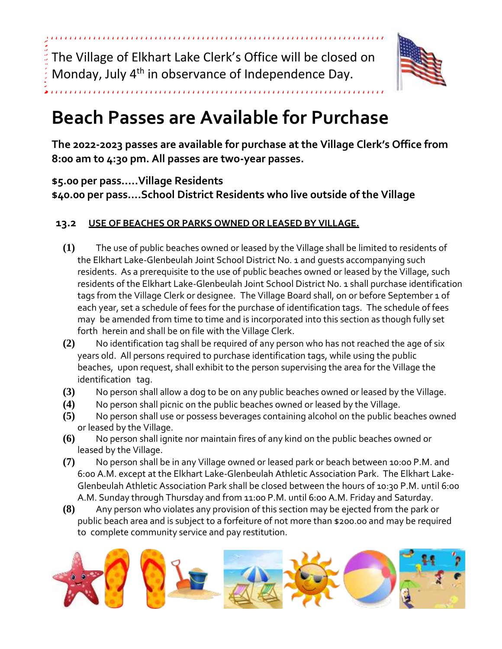The Village of Elkhart Lake Clerk's Office will be closed on Monday, July 4<sup>th</sup> in observance of Independence Day.



# **Beach Passes are Available for Purchase**

**The 2022-2023 passes are available for purchase at the Village Clerk's Office from 8:00 am to 4:30 pm. All passes are two-year passes.** 

### **\$5.00 per pass…..Village Residents**

**\$40.00 per pass….School District Residents who live outside of the Village**

#### **13.2 USE OF BEACHES OR PARKS OWNED OR LEASED BY VILLAGE.**

- **(1)** The use of public beaches owned or leased by the Village shall be limited to residents of the Elkhart Lake-Glenbeulah Joint School District No. 1 and guests accompanying such residents. As a prerequisite to the use of public beaches owned or leased by the Village, such residents of the Elkhart Lake-Glenbeulah Joint School District No. 1 shall purchase identification tags from the Village Clerk or designee. The Village Board shall, on or before September 1 of each year, set a schedule of fees for the purchase of identification tags. The schedule of fees may be amended from time to time and is incorporated into this section as though fully set forth herein and shall be on file with the Village Clerk.
- **(2)** No identification tag shall be required of any person who has not reached the age of six years old. All persons required to purchase identification tags, while using the public beaches, upon request, shall exhibit to the person supervising the area for the Village the identification tag.
- **(3)** No person shall allow a dog to be on any public beaches owned or leased by the Village.
- **(4)** No person shall picnic on the public beaches owned or leased by the Village.
- **(5)** No person shall use or possess beverages containing alcohol on the public beaches owned or leased by the Village.
- **(6)** No person shall ignite nor maintain fires of any kind on the public beaches owned or leased by the Village.
- **(7)** No person shall be in any Village owned or leased park or beach between 10:00 P.M. and 6:00 A.M. except at the Elkhart Lake-Glenbeulah Athletic Association Park. The Elkhart Lake-Glenbeulah Athletic Association Park shall be closed between the hours of 10:30 P.M. until 6:00 A.M. Sunday through Thursday and from 11:00 P.M. until 6:00 A.M. Friday and Saturday.
- **(8)** Any person who violates any provision of this section may be ejected from the park or public beach area and is subject to a forfeiture of not more than \$200.00 and may be required to complete community service and pay restitution.

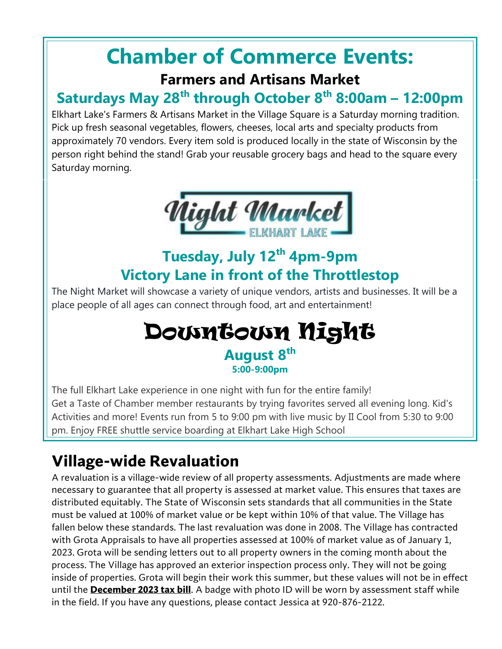# **Chamber of Commerce Events:**

### **Farmers and Artisans Market**

## **Saturdays May 28th through October 8th 8:00am – 12:00pm**

Elkhart Lake's Farmers & Artisans Market in the Village Square is a Saturday morning tradition. Pick up fresh seasonal vegetables, flowers, cheeses, local arts and specialty products from approximately 70 vendors. Every item sold is produced locally in the state of Wisconsin by the person right behind the stand! Grab your reusable grocery bags and head to the square every Saturday morning.



# **Tuesday, July 12 th 4pm-9pm Victory Lane in front of the Throttlestop**

The Night Market will showcase a variety of unique vendors, artists and businesses. It will be a place people of all ages can connect through food, art and entertainment!

## Downtown Night **August 8 th 5:00-9:00pm**

The full Elkhart Lake experience in one night with fun for the entire family! Get a Taste of Chamber member restaurants by trying favorites served all evening long. Kid's Activities and more! Events run from 5 to 9:00 pm with live music by II Cool from 5:30 to 9:00 pm. Enjoy FREE shuttle service boarding at Elkhart Lake High School

# **Village-wide Revaluation**

A revaluation is a village-wide review of all property assessments. Adjustments are made where necessary to guarantee that all property is assessed at market value. This ensures that taxes are distributed equitably. The State of Wisconsin sets standards that all communities in the State must be valued at 100% of market value or be kept within 10% of that value. The Village has fallen below these standards. The last revaluation was done in 2008. The Village has contracted with Grota Appraisals to have all properties assessed at 100% of market value as of January 1, 2023. Grota will be sending letters out to all property owners in the coming month about the process. The Village has approved an exterior inspection process only. They will not be going inside of properties. Grota will begin their work this summer, but these values will not be in effect until the **December 2023 tax bill**. A badge with photo ID will be worn by assessment staff while in the field. If you have any questions, please contact Jessica at 920-876-2122.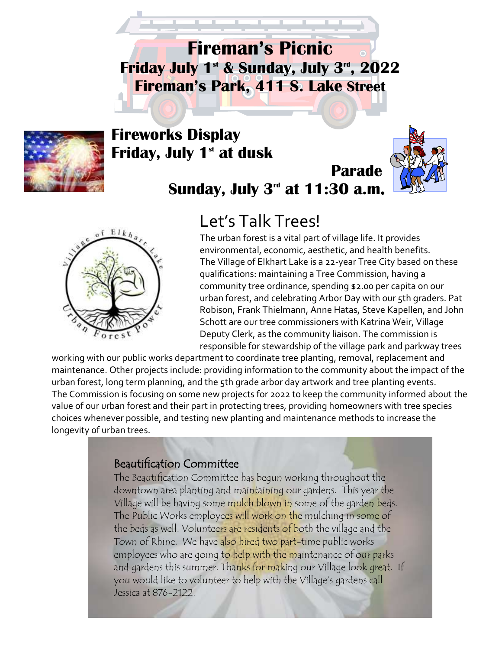**Fireman's Picnic Friday July 1 st & Sunday, July 3 rd, 2022 Fireman's Park, 411 S. Lake Street**



### **Fireworks Display Friday, July 1 st at dusk**



# **Sunday, July 3<sup>rd</sup> at 11:30 a.m.**



## Let's Talk Trees!

The urban forest is a vital part of village life. It provides environmental, economic, aesthetic, and health benefits. The Village of Elkhart Lake is a 22-year Tree City based on these qualifications: maintaining a Tree Commission, having a community tree ordinance, spending \$2.00 per capita on our urban forest, and celebrating Arbor Day with our 5th graders. Pat Robison, Frank Thielmann, Anne Hatas, Steve Kapellen, and John Schott are our tree commissioners with Katrina Weir, Village Deputy Clerk, as the community liaison. The commission is responsible for stewardship of the village park and parkway trees

working with our public works department to coordinate tree planting, removal, replacement and maintenance. Other projects include: providing information to the community about the impact of the urban forest, long term planning, and the 5th grade arbor day artwork and tree planting events. The Commission is focusing on some new projects for 2022 to keep the community informed about the value of our urban forest and their part in protecting trees, providing homeowners with tree species choices whenever possible, and testing new planting and maintenance methods to increase the longevity of urban trees.

### Beautification Committee

The Beautification Committee has begun working throughout the downtown area planting and maintaining our gardens. This year the Village will be having some mulch blown in some of the garden beds. The Public Works employees will work on the mulching in some of the beds as well. Volunteers are residents of both the village and the Town of Rhine. We have also hired two part-time public works employees who are going to help with the maintenance of our parks and gardens this summer. Thanks for making our Village look great. If you would like to volunteer to help with the Village's gardens call Jessica at 876-2122.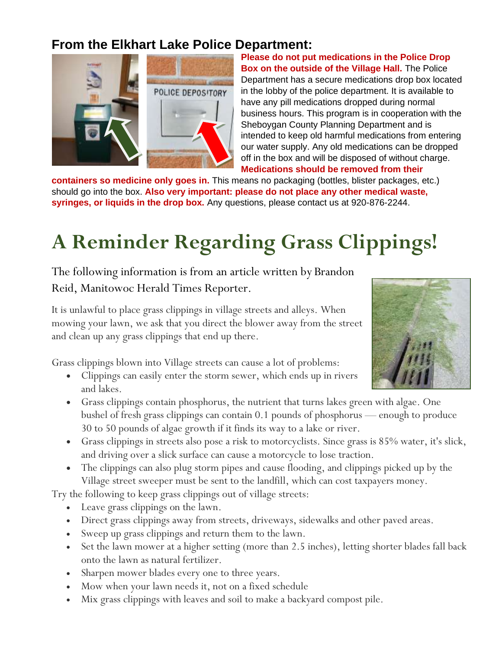### **From the Elkhart Lake Police Department:**



**Please do not put medications in the Police Drop Box on the outside of the Village Hall.** The Police Department has a secure medications drop box located in the lobby of the police department. It is available to have any pill medications dropped during normal business hours. This program is in cooperation with the Sheboygan County Planning Department and is intended to keep old harmful medications from entering our water supply. Any old medications can be dropped off in the box and will be disposed of without charge. **Medications should be removed from their** 

**containers so medicine only goes in.** This means no packaging (bottles, blister packages, etc.) should go into the box. **Also very important: please do not place any other medical waste, syringes, or liquids in the drop box.** Any questions, please contact us at 920-876-2244.

# **A Reminder Regarding Grass Clippings!**

The following information is from an article written by Brandon Reid, Manitowoc Herald Times Reporter.

It is unlawful to place grass clippings in village streets and alleys. When mowing your lawn, we ask that you direct the blower away from the street and clean up any grass clippings that end up there.

Grass clippings blown into Village streets can cause a lot of problems:

- Clippings can easily enter the storm sewer, which ends up in rivers and lakes.
- Grass clippings contain phosphorus, the nutrient that turns lakes green with algae. One bushel of fresh grass clippings can contain 0.1 pounds of phosphorus — enough to produce 30 to 50 pounds of algae growth if it finds its way to a lake or river.
- Grass clippings in streets also pose a risk to motorcyclists. Since grass is 85% water, it's slick, and driving over a slick surface can cause a motorcycle to lose traction.
- The clippings can also plug storm pipes and cause flooding, and clippings picked up by the Village street sweeper must be sent to the landfill, which can cost taxpayers money.

Try the following to keep grass clippings out of village streets:

- Leave grass clippings on the lawn.
- Direct grass clippings away from streets, driveways, sidewalks and other paved areas.
- Sweep up grass clippings and return them to the lawn.
- Set the lawn mower at a higher setting (more than 2.5 inches), letting shorter blades fall back onto the lawn as natural fertilizer.
- Sharpen mower blades every one to three years.
- Mow when your lawn needs it, not on a fixed schedule
- Mix grass clippings with leaves and soil to make a backyard compost pile.

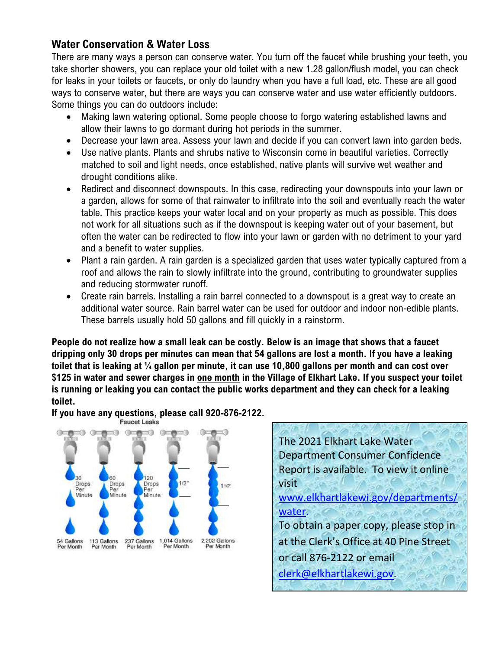### **Water Conservation & Water Loss**

There are many ways a person can conserve water. You turn off the faucet while brushing your teeth, you take shorter showers, you can replace your old toilet with a new 1.28 gallon/flush model, you can check for leaks in your toilets or faucets, or only do laundry when you have a full load, etc. These are all good ways to conserve water, but there are ways you can conserve water and use water efficiently outdoors. Some things you can do outdoors include:

- Making lawn watering optional. Some people choose to forgo watering established lawns and allow their lawns to go dormant during hot periods in the summer.
- Decrease your lawn area. Assess your lawn and decide if you can convert lawn into garden beds.
- Use native plants. Plants and shrubs native to Wisconsin come in beautiful varieties. Correctly matched to soil and light needs, once established, native plants will survive wet weather and drought conditions alike.
- Redirect and disconnect downspouts. In this case, redirecting your downspouts into your lawn or a garden, allows for some of that rainwater to infiltrate into the soil and eventually reach the water table. This practice keeps your water local and on your property as much as possible. This does not work for all situations such as if the downspout is keeping water out of your basement, but often the water can be redirected to flow into your lawn or garden with no detriment to your yard and a benefit to water supplies.
- Plant a rain garden. A rain garden is a specialized garden that uses water typically captured from a roof and allows the rain to slowly infiltrate into the ground, contributing to groundwater supplies and reducing stormwater runoff.
- Create rain barrels. Installing a rain barrel connected to a downspout is a great way to create an additional water source. Rain barrel water can be used for outdoor and indoor non-edible plants. These barrels usually hold 50 gallons and fill quickly in a rainstorm.

**People do not realize how a small leak can be costly. Below is an image that shows that a faucet dripping only 30 drops per minutes can mean that 54 gallons are lost a month. If you have a leaking toilet that is leaking at ¼ gallon per minute, it can use 10,800 gallons per month and can cost over \$125 in water and sewer charges in one month in the Village of Elkhart Lake. If you suspect your toilet is running or leaking you can contact the public works department and they can check for a leaking toilet.** 

**If you have any questions, please call 920-876-2122.Faucet Leaks** 



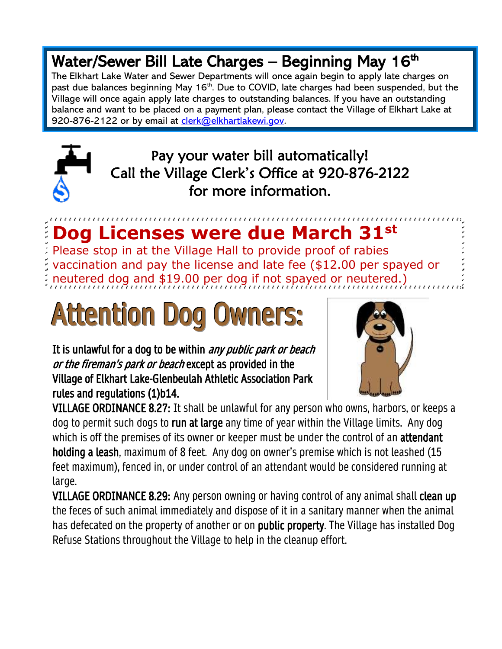# Water/Sewer Bill Late Charges – Beginning May 16th

The Elkhart Lake Water and Sewer Departments will once again begin to apply late charges on past due balances beginning May 16<sup>th</sup>. Due to COVID, late charges had been suspended, but the Village will once again apply late charges to outstanding balances. If you have an outstanding balance and want to be placed on a payment plan, please contact the Village of Elkhart Lake at 920-876-2122 or by email at [clerk@elkhartlakewi.gov.](mailto:clerk@elkhartlakewi.gov)



Pay your water bill automatically! Call the Village Clerk's Office at 920-876-2122 for more information.

# **Dog Licenses were due March 31st**

Please stop in at the Village Hall to provide proof of rabies vaccination and pay the license and late fee (\$12.00 per spayed or neutered dog and \$19.00 per dog if not spayed or neutered.)

# Attention Dog Owners:

It is unlawful for a dog to be within *any public park or beach* or the fireman's park or beach except as provided in the Village of Elkhart Lake-Glenbeulah Athletic Association Park rules and regulations (1)b14.



VILLAGE ORDINANCE 8.27: It shall be unlawful for any person who owns, harbors, or keeps a dog to permit such dogs to run at large any time of year within the Village limits. Any dog which is off the premises of its owner or keeper must be under the control of an **attendant** holding a leash, maximum of 8 feet. Any dog on owner's premise which is not leashed (15 feet maximum), fenced in, or under control of an attendant would be considered running at large.

VILLAGE ORDINANCE 8.29: Any person owning or having control of any animal shall clean up the feces of such animal immediately and dispose of it in a sanitary manner when the animal has defecated on the property of another or on public property. The Village has installed Dog Refuse Stations throughout the Village to help in the cleanup effort.